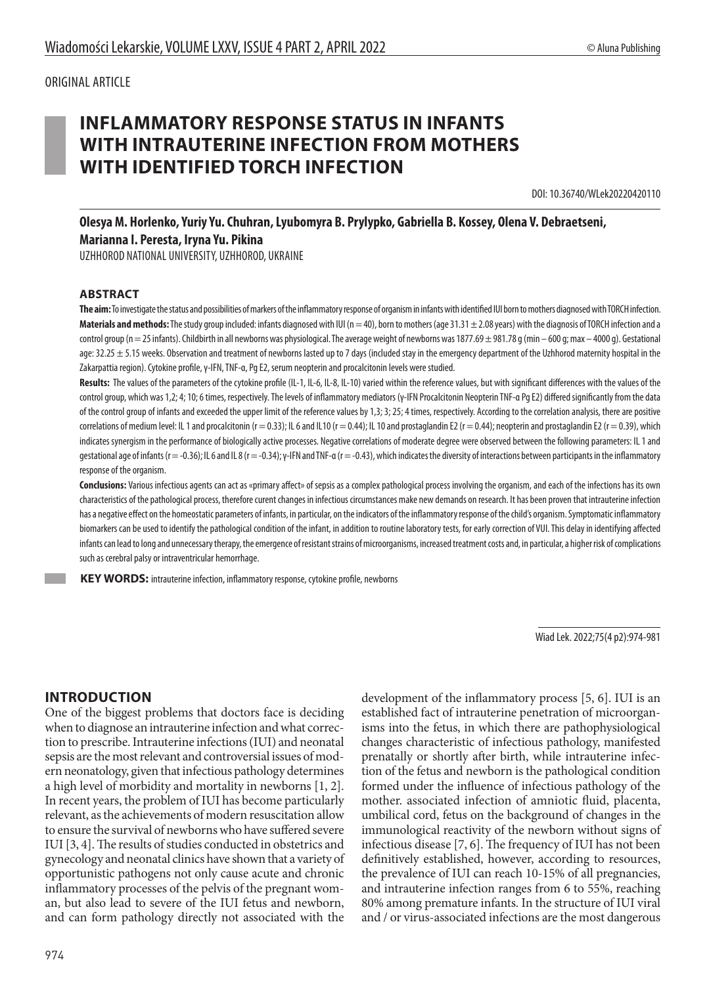# **INFLAMMATORY RESPONSE STATUS IN INFANTS WITH INTRAUTERINE INFECTION FROM MOTHERS WITH IDENTIFIED TORCH INFECTION**

DOI: 10.36740/WLek20220420110

**Olesya M. Horlenko, Yuriy Yu. Chuhran, Lyubomyra B. Prylypko, Gabriella B. Kossey, Olena V. Debraetseni, Marianna I. Peresta, Iryna Yu. Pikina**

UZHHOROD NATIONAL UNIVERSITY, UZHHOROD, UKRAINE

#### **ABSTRACT**

**The aim:** To investigate the status and possibilities of markers of the inflammatory response of organism in infants with identified IUI born to mothers diagnosed with TORCH infection. Materials and methods: The study group included: infants diagnosed with IUI (n = 40), born to mothers (age 31.31 ± 2.08 years) with the diagnosis of TORCH infection and a control group (n = 25 infants). Childbirth in all newborns was physiological. The average weight of newborns was 1877.69 ± 981.78 g (min - 600 g; max - 4000 g). Gestational age:  $32.25 \pm 5.15$  weeks. Observation and treatment of newborns lasted up to 7 days (included stay in the emergency department of the Uzhhorod maternity hospital in the Zakarpattia region). Cytokine profile, γ-IFN, TNF-α, Pg E2, serum neopterin and procalcitonin levels were studied.

Results: The values of the parameters of the cytokine profile (IL-1, IL-6, IL-8, IL-10) varied within the reference values, but with significant differences with the values of the control group, which was 1,2; 4; 10; 6 times, respectively. The levels of inflammatory mediators (γ-IFN Procalcitonin Neopterin TNF-α Pg E2) differed significantly from the data of the control group of infants and exceeded the upper limit of the reference values by 1,3; 3; 25; 4 times, respectively. According to the correlation analysis, there are positive correlations of medium level: IL 1 and procalcitonin (r = 0.33); IL 6 and IL10 (r = 0.44); IL 10 and prostaglandin E2 (r = 0.44); neopterin and prostaglandin E2 (r = 0.39), which indicates synergism in the performance of biologically active processes. Negative correlations of moderate degree were observed between the following parameters: IL 1 and qestational age of infants (r = -0.36); IL 6 and IL 8 (r = -0.34); γ-IFN and TNF-α (r = -0.43), which indicates the diversity of interactions between participants in the inflammatory response of the organism.

**Conclusions:** Various infectious agents can act as «primary affect» of sepsis as a complex pathological process involving the organism, and each of the infections has its own characteristics of the pathological process, therefore curent changes in infectious circumstances make new demands on research. It has been proven that intrauterine infection has a negative effect on the homeostatic parameters of infants, in particular, on the indicators of the inflammatory response of the child's organism. Symptomatic inflammatory biomarkers can be used to identify the pathological condition of the infant, in addition to routine laboratory tests, for early correction of VUI. This delay in identifying affected infants can lead to long and unnecessary therapy, the emergence of resistant strains of microorganisms, increased treatment costs and, in particular, a higher risk of complications such as cerebral palsy or intraventricular hemorrhage.

 **KEY WORDS:** intrauterine infection, inflammatory response, cytokine profile, newborns

Wiad Lek. 2022;75(4 p2):974-981

## **INTRODUCTION**

One of the biggest problems that doctors face is deciding when to diagnose an intrauterine infection and what correction to prescribe. Intrauterine infections (IUI) and neonatal sepsis are the most relevant and controversial issues of modern neonatology, given that infectious pathology determines a high level of morbidity and mortality in newborns [1, 2]. In recent years, the problem of IUI has become particularly relevant, as the achievements of modern resuscitation allow to ensure the survival of newborns who have suffered severe IUI [3, 4]. The results of studies conducted in obstetrics and gynecology and neonatal clinics have shown that a variety of opportunistic pathogens not only cause acute and chronic inflammatory processes of the pelvis of the pregnant woman, but also lead to severe of the IUI fetus and newborn, and can form pathology directly not associated with the

development of the inflammatory process [5, 6]. IUI is an established fact of intrauterine penetration of microorganisms into the fetus, in which there are pathophysiological changes characteristic of infectious pathology, manifested prenatally or shortly after birth, while intrauterine infection of the fetus and newborn is the pathological condition formed under the influence of infectious pathology of the mother. associated infection of amniotic fluid, placenta, umbilical cord, fetus on the background of changes in the immunological reactivity of the newborn without signs of infectious disease [7, 6]. The frequency of IUI has not been definitively established, however, according to resources, the prevalence of IUI can reach 10-15% of all pregnancies, and intrauterine infection ranges from 6 to 55%, reaching 80% among premature infants. In the structure of IUI viral and / or virus-associated infections are the most dangerous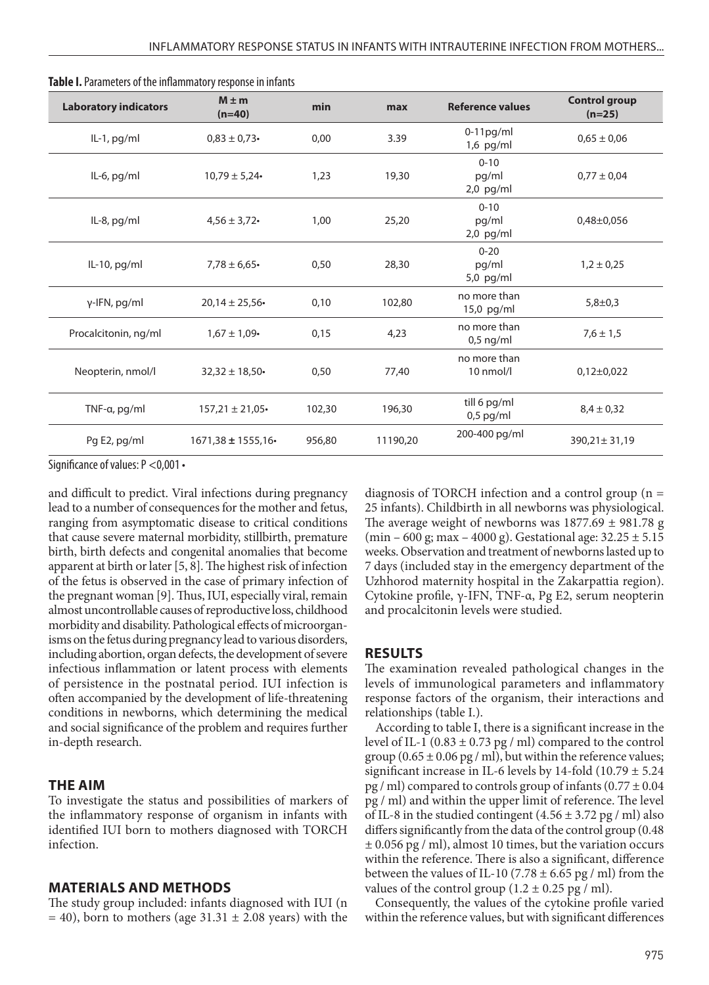| <b>Laboratory indicators</b> | $M \pm m$<br>$(n=40)$ | min    | max      | <b>Reference values</b>          | <b>Control group</b><br>$(n=25)$ |
|------------------------------|-----------------------|--------|----------|----------------------------------|----------------------------------|
| IL-1, pg/ml                  | $0,83 \pm 0,73$       | 0,00   | 3.39     | $0-11$ pg/ml<br>$1,6$ pg/ml      | $0,65 \pm 0,06$                  |
| IL-6, pg/ml                  | $10,79 \pm 5,24$      | 1,23   | 19,30    | $0 - 10$<br>pg/ml<br>$2,0$ pg/ml | $0,77 \pm 0,04$                  |
| IL-8, pg/ml                  | $4,56 \pm 3,72$       | 1,00   | 25,20    | $0 - 10$<br>pg/ml<br>$2,0$ pg/ml | $0,48\pm0,056$                   |
| IL-10, pg/ml                 | $7,78 \pm 6,65$       | 0,50   | 28,30    | $0 - 20$<br>pg/ml<br>5,0 pg/ml   | $1,2 \pm 0,25$                   |
| γ-IFN, pg/ml                 | $20,14 \pm 25,56$     | 0,10   | 102,80   | no more than<br>15,0 pg/ml       | $5,8 \pm 0,3$                    |
| Procalcitonin, ng/ml         | $1,67 \pm 1,09$       | 0,15   | 4,23     | no more than<br>$0,5$ ng/ml      | $7,6 \pm 1,5$                    |
| Neopterin, nmol/l            | $32,32 \pm 18,50$     | 0,50   | 77,40    | no more than<br>$10$ nmol/l      | $0,12\pm0,022$                   |
| TNF- $\alpha$ , pg/ml        | $157,21 \pm 21,05$    | 102,30 | 196,30   | till 6 pg/ml<br>$0,5$ pg/ml      | $8,4 \pm 0,32$                   |
| Pg E2, pg/ml                 | $1671,38 \pm 1555,16$ | 956,80 | 11190,20 | 200-400 pg/ml                    | 390,21± 31,19                    |

| Table I. Parameters of the inflammatory response in infants |  |
|-------------------------------------------------------------|--|
|-------------------------------------------------------------|--|

Significance of values: P <0,001 •

and difficult to predict. Viral infections during pregnancy lead to a number of consequences for the mother and fetus, ranging from asymptomatic disease to critical conditions that cause severe maternal morbidity, stillbirth, premature birth, birth defects and congenital anomalies that become apparent at birth or later [5, 8]. The highest risk of infection of the fetus is observed in the case of primary infection of the pregnant woman [9]. Thus, IUI, especially viral, remain almost uncontrollable causes of reproductive loss, childhood morbidity and disability. Pathological effects of microorganisms on the fetus during pregnancy lead to various disorders, including abortion, organ defects, the development of severe infectious inflammation or latent process with elements of persistence in the postnatal period. IUI infection is often accompanied by the development of life-threatening conditions in newborns, which determining the medical and social significance of the problem and requires further in-depth research.

#### **THE AIM**

To investigate the status and possibilities of markers of the inflammatory response of organism in infants with identified IUI born to mothers diagnosed with TORCH infection.

### **MATERIALS AND METHODS**

The study group included: infants diagnosed with IUI (n  $= 40$ ), born to mothers (age 31.31  $\pm$  2.08 years) with the diagnosis of TORCH infection and a control group (n = 25 infants). Childbirth in all newborns was physiological. The average weight of newborns was  $1877.69 \pm 981.78$  g (min – 600 g; max – 4000 g). Gestational age:  $32.25 \pm 5.15$ weeks. Observation and treatment of newborns lasted up to 7 days (included stay in the emergency department of the Uzhhorod maternity hospital in the Zakarpattia region). Cytokine profile, γ-IFN, TNF-α, Pg E2, serum neopterin and procalcitonin levels were studied.

#### **RESULTS**

The examination revealed pathological changes in the levels of immunological parameters and inflammatory response factors of the organism, their interactions and relationships (table I.).

According to table I, there is a significant increase in the level of IL-1 (0.83  $\pm$  0.73 pg / ml) compared to the control group ( $0.65 \pm 0.06$  pg / ml), but within the reference values; significant increase in IL-6 levels by 14-fold (10.79 ± 5.24  $pg$  / ml) compared to controls group of infants  $(0.77 \pm 0.04)$ pg / ml) and within the upper limit of reference. The level of IL-8 in the studied contingent  $(4.56 \pm 3.72 \text{ pg/m})$  also differs significantly from the data of the control group (0.48  $\pm$  0.056 pg / ml), almost 10 times, but the variation occurs within the reference. There is also a significant, difference between the values of IL-10 (7.78  $\pm$  6.65 pg / ml) from the values of the control group  $(1.2 \pm 0.25 \text{ pg/m})$ .

Consequently, the values of the cytokine profile varied within the reference values, but with significant differences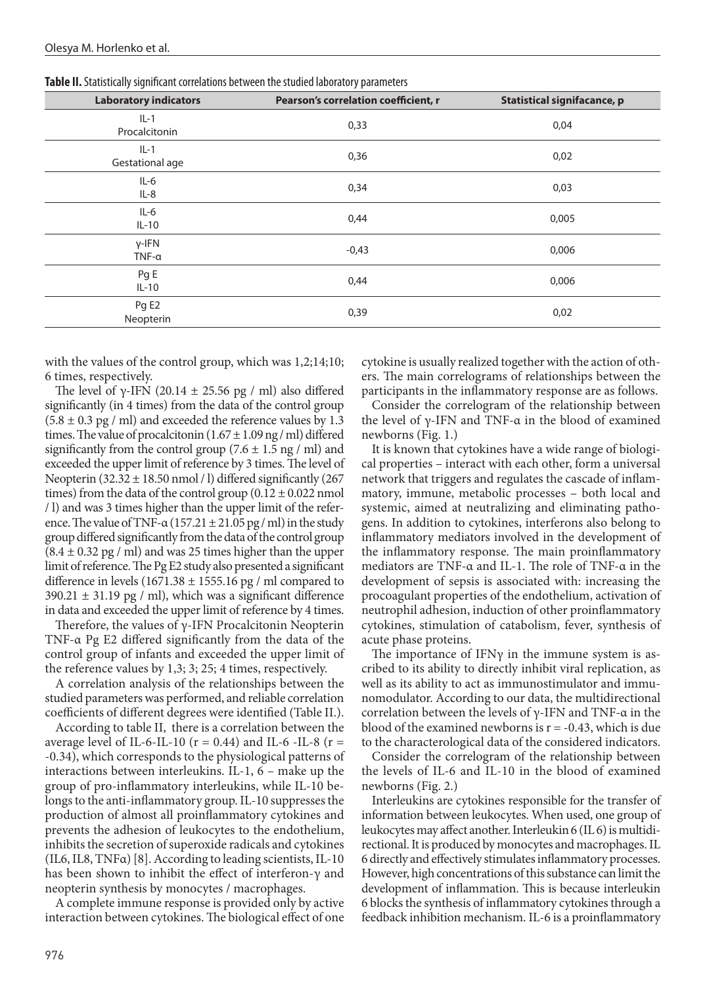| . .                          | $\sim$                               |                             |
|------------------------------|--------------------------------------|-----------------------------|
| <b>Laboratory indicators</b> | Pearson's correlation coefficient, r | Statistical signifacance, p |
| $IL-1$<br>Procalcitonin      | 0,33                                 | 0,04                        |
| $IL-1$<br>Gestational age    | 0,36                                 | 0,02                        |
| $IL-6$<br>$IL-8$             | 0,34                                 | 0,03                        |
| $IL-6$<br>$IL-10$            | 0,44                                 | 0,005                       |
| $Y$ -IFN<br>$TNF-\alpha$     | $-0,43$                              | 0,006                       |
| Pg E<br>$IL-10$              | 0,44                                 | 0,006                       |
| Pg E2<br>Neopterin           | 0,39                                 | 0,02                        |

**Table II.** Statistically significant correlations between the studied laboratory parameters

with the values of the control group, which was 1,2;14;10; 6 times, respectively.

The level of γ-IFN (20.14  $\pm$  25.56 pg / ml) also differed significantly (in 4 times) from the data of the control group  $(5.8 \pm 0.3 \text{ pg} / \text{ml})$  and exceeded the reference values by 1.3 times. The value of procalcitonin  $(1.67 \pm 1.09$  ng / ml) differed significantly from the control group  $(7.6 \pm 1.5 \text{ ng } / \text{ ml})$  and exceeded the upper limit of reference by 3 times. The level of Neopterin  $(32.32 \pm 18.50 \text{ nmol}/1)$  differed significantly  $(267$ times) from the data of the control group  $(0.12 \pm 0.022 \text{ nmol})$ / l) and was 3 times higher than the upper limit of the reference. The value of TNF- $\alpha$  (157.21  $\pm$  21.05 pg / ml) in the study group differed significantly from the data of the control group  $(8.4 \pm 0.32 \text{ pg/m})$  and was 25 times higher than the upper limit of reference. The Pg E2 study also presented a significant difference in levels (1671.38  $\pm$  1555.16 pg / ml compared to  $390.21 \pm 31.19$  pg / ml), which was a significant difference in data and exceeded the upper limit of reference by 4 times.

Therefore, the values of γ-IFN Procalcitonin Neopterin TNF-α Pg E2 differed significantly from the data of the control group of infants and exceeded the upper limit of the reference values by 1,3; 3; 25; 4 times, respectively.

A correlation analysis of the relationships between the studied parameters was performed, and reliable correlation coefficients of different degrees were identified (Table II.).

According to table II, there is a correlation between the average level of IL-6-IL-10 ( $r = 0.44$ ) and IL-6-IL-8 ( $r =$ -0.34), which corresponds to the physiological patterns of interactions between interleukins. IL-1, 6 – make up the group of pro-inflammatory interleukins, while IL-10 belongs to the anti-inflammatory group. IL-10 suppresses the production of almost all proinflammatory cytokines and prevents the adhesion of leukocytes to the endothelium, inhibits the secretion of superoxide radicals and cytokines (IL6, IL8, TNF $\alpha$ ) [8]. According to leading scientists, IL-10 has been shown to inhibit the effect of interferon-γ and neopterin synthesis by monocytes / macrophages.

A complete immune response is provided only by active interaction between cytokines. The biological effect of one cytokine is usually realized together with the action of others. The main correlograms of relationships between the participants in the inflammatory response are as follows.

Consider the correlogram of the relationship between the level of γ-IFN and TNF- $\alpha$  in the blood of examined newborns (Fig. 1.)

It is known that cytokines have a wide range of biological properties – interact with each other, form a universal network that triggers and regulates the cascade of inflammatory, immune, metabolic processes – both local and systemic, aimed at neutralizing and eliminating pathogens. In addition to cytokines, interferons also belong to inflammatory mediators involved in the development of the inflammatory response. The main proinflammatory mediators are TNF-α and IL-1. The role of TNF-α in the development of sepsis is associated with: increasing the procoagulant properties of the endothelium, activation of neutrophil adhesion, induction of other proinflammatory cytokines, stimulation of catabolism, fever, synthesis of acute phase proteins.

The importance of IFN $\gamma$  in the immune system is ascribed to its ability to directly inhibit viral replication, as well as its ability to act as immunostimulator and immunomodulator. According to our data, the multidirectional correlation between the levels of γ-IFN and TNF-α in the blood of the examined newborns is  $r = -0.43$ , which is due to the characterological data of the considered indicators.

Consider the correlogram of the relationship between the levels of IL-6 and IL-10 in the blood of examined newborns (Fig. 2.)

Interleukins are cytokines responsible for the transfer of information between leukocytes. When used, one group of leukocytes may affect another. Interleukin 6 (IL 6) is multidirectional. It is produced by monocytes and macrophages. IL 6 directly and effectively stimulates inflammatory processes. However, high concentrations of this substance can limit the development of inflammation. This is because interleukin 6 blocks the synthesis of inflammatory cytokines through a feedback inhibition mechanism. IL-6 is a proinflammatory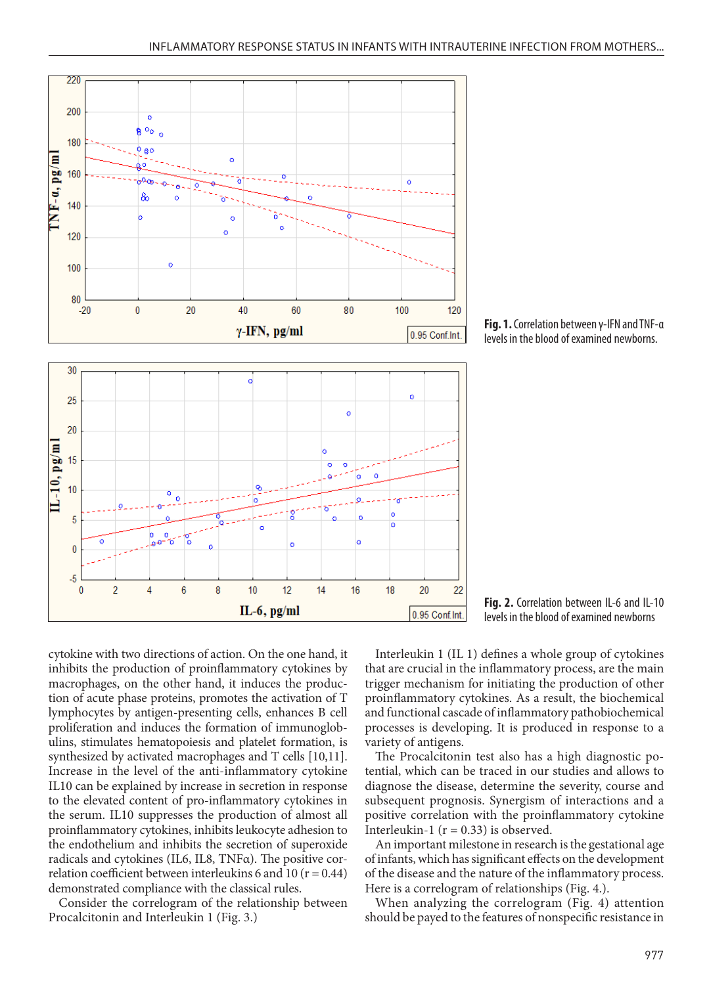

newborns

**Fig. 1.** Correlation between γ-IFN and TNF-α levels in the blood of examined newborns.

**Fig. 2.** Correlation between IL-6 and IL-10 levels in the blood of examined newborns

cytokine with two directions of action. On the one hand, it inhibits the production of proinflammatory cytokines by macrophages, on the other hand, it induces the production of acute phase proteins, promotes the activation of T lymphocytes by antigen-presenting cells, enhances B cell proliferation and induces the formation of immunoglobulins, stimulates hematopoiesis and platelet formation, is synthesized by activated macrophages and T cells [10,11]. Increase in the level of the anti-inflammatory cytokine IL10 can be explained by increase in secretion in response to the elevated content of pro-inflammatory cytokines in the serum. IL10 suppresses the production of almost all proinflammatory cytokines, inhibits leukocyte adhesion to the endothelium and inhibits the secretion of superoxide radicals and cytokines (IL6, IL8, TNFα). The positive correlation coefficient between interleukins 6 and 10 ( $r = 0.44$ ) demonstrated compliance with the classical rules.

Consider the correlogram of the relationship between Procalcitonin and Interleukin 1 (Fig. 3.)

Interleukin 1 (IL 1) defines a whole group of cytokines that are crucial in the inflammatory process, are the main trigger mechanism for initiating the production of other proinflammatory cytokines. As a result, the biochemical and functional cascade of inflammatory pathobiochemical processes is developing. It is produced in response to a

variety of antigens. The Procalcitonin test also has a high diagnostic potential, which can be traced in our studies and allows to diagnose the disease, determine the severity, course and subsequent prognosis. Synergism of interactions and a positive correlation with the proinflammatory cytokine Interleukin-1 ( $r = 0.33$ ) is observed.

An important milestone in research is the gestational age of infants, which has significant effects on the development of the disease and the nature of the inflammatory process. Here is a correlogram of relationships (Fig. 4.).

When analyzing the correlogram (Fig. 4) attention should be payed to the features of nonspecific resistance in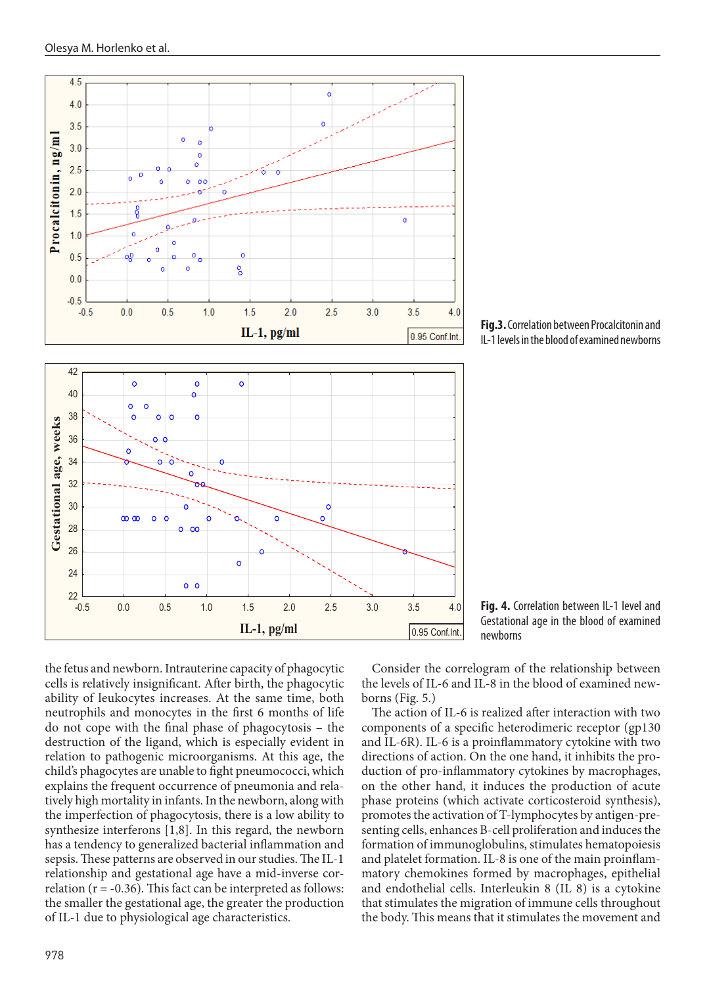

**Fig.3.** Correlation between Procalcitonin and IL-1 levels in the blood of examined newborns

the fetus and newborn. Intrauterine capacity of phagocytic cells is relatively insignificant. After birth, the phagocytic ability of leukocytes increases. At the same time, both neutrophils and monocytes in the first 6 months of life do not cope with the final phase of phagocytosis – the destruction of the ligand, which is especially evident in relation to pathogenic microorganisms. At this age, the child's phagocytes are unable to fight pneumococci, which explains the frequent occurrence of pneumonia and relatively high mortality in infants. In the newborn, along with the imperfection of phagocytosis, there is a low ability to synthesize interferons [1,8]. In this regard, the newborn has a tendency to generalized bacterial inflammation and sepsis. These patterns are observed in our studies. The IL-1 relationship and gestational age have a mid-inverse correlation ( $r = -0.36$ ). This fact can be interpreted as follows: the smaller the gestational age, the greater the production of IL-1 due to physiological age characteristics.

**Fig. 4.** Correlation between IL-1 level and Gestational age in the blood of examined newborns

Consider the correlogram of the relationship between the levels of IL-6 and IL-8 in the blood of examined newborns (Fig. 5.)

The action of IL-6 is realized after interaction with two components of a specific heterodimeric receptor (gp130 and IL-6R). IL-6 is a proinflammatory cytokine with two directions of action. On the one hand, it inhibits the production of pro-inflammatory cytokines by macrophages, on the other hand, it induces the production of acute phase proteins (which activate corticosteroid synthesis), promotes the activation of T-lymphocytes by antigen-presenting cells, enhances B-cell proliferation and induces the formation of immunoglobulins, stimulates hematopoiesis and platelet formation. IL-8 is one of the main proinflammatory chemokines formed by macrophages, epithelial and endothelial cells. Interleukin 8 (IL 8) is a cytokine that stimulates the migration of immune cells throughout the body. This means that it stimulates the movement and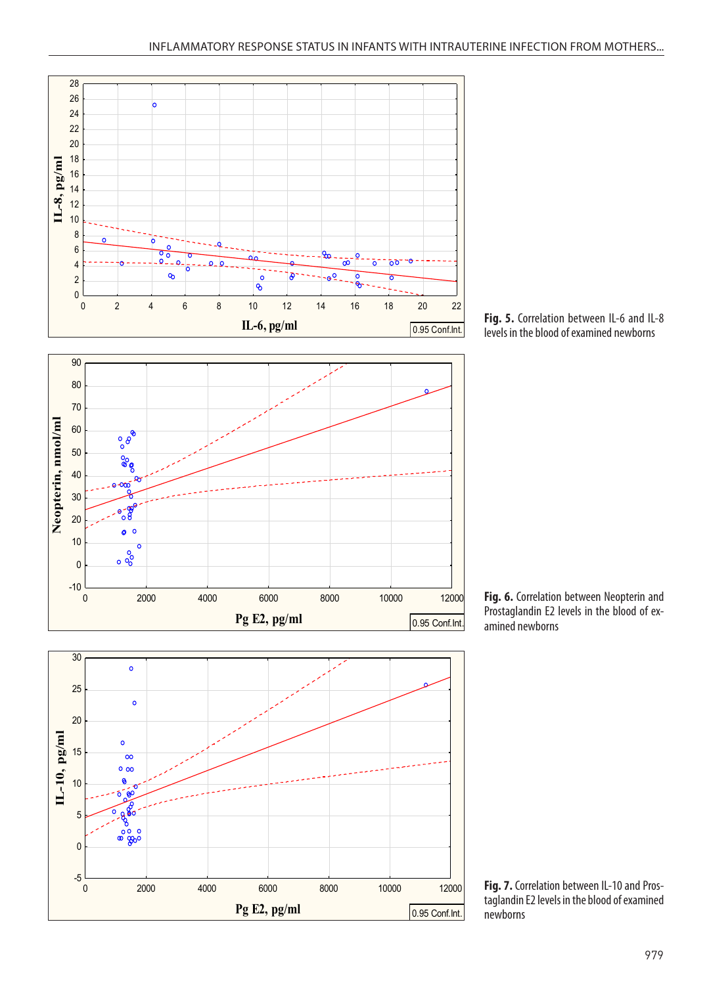

Il-8 пг/мл = 7.1279 - .2383 \* Il-6пг/мл

**Fig. 5.** Correlation between IL-6 and IL-8 levels in the blood of examined newborns







**Fig. 7.** Correlation between IL-10 and Prostaglandin E2 levels in the blood of examined newborns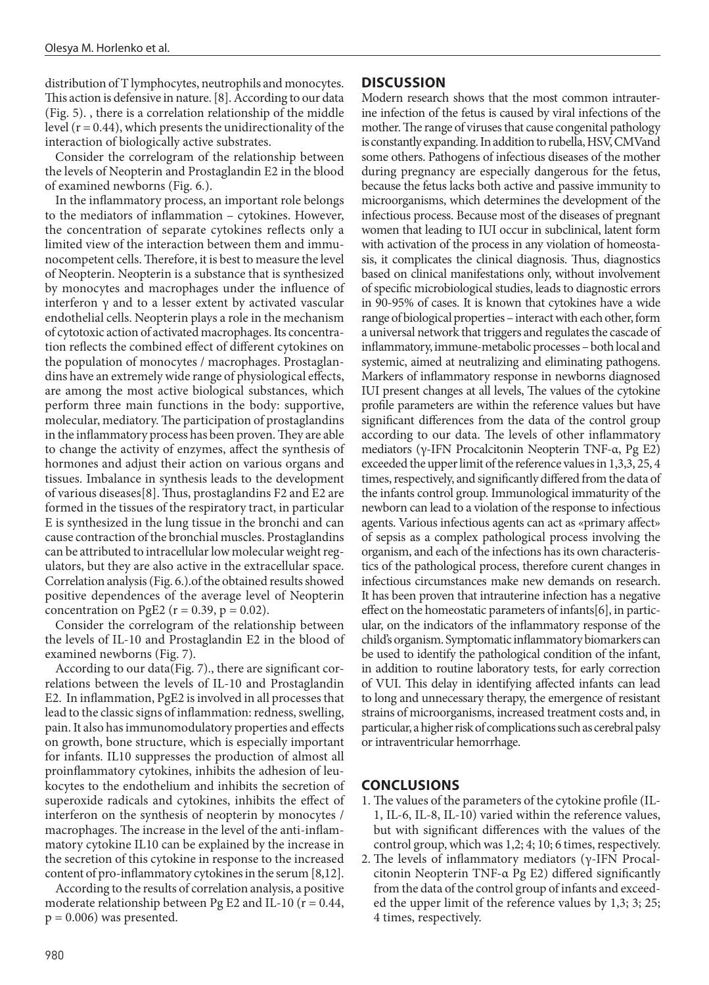distribution of T lymphocytes, neutrophils and monocytes. This action is defensive in nature. [8]. According to our data (Fig. 5). , there is a correlation relationship of the middle level  $(r = 0.44)$ , which presents the unidirectionality of the interaction of biologically active substrates.

Consider the correlogram of the relationship between the levels of Neopterin and Prostaglandin E2 in the blood of examined newborns (Fig. 6.).

In the inflammatory process, an important role belongs to the mediators of inflammation – cytokines. However, the concentration of separate cytokines reflects only a limited view of the interaction between them and immunocompetent cells. Therefore, it is best to measure the level of Neopterin. Neopterin is a substance that is synthesized by monocytes and macrophages under the influence of interferon γ and to a lesser extent by activated vascular endothelial cells. Neopterin plays a role in the mechanism of cytotoxic action of activated macrophages. Its concentration reflects the combined effect of different cytokines on the population of monocytes / macrophages. Prostaglandins have an extremely wide range of physiological effects, are among the most active biological substances, which perform three main functions in the body: supportive, molecular, mediatory. The participation of prostaglandins in the inflammatory process has been proven. They are able to change the activity of enzymes, affect the synthesis of hormones and adjust their action on various organs and tissues. Imbalance in synthesis leads to the development of various diseases[8]. Thus, prostaglandins F2 and E2 are formed in the tissues of the respiratory tract, in particular E is synthesized in the lung tissue in the bronchi and can cause contraction of the bronchial muscles. Prostaglandins can be attributed to intracellular low molecular weight regulators, but they are also active in the extracellular space. Correlation analysis (Fig. 6.).of the obtained results showed positive dependences of the average level of Neopterin concentration on PgE2 ( $r = 0.39$ ,  $p = 0.02$ ).

Consider the correlogram of the relationship between the levels of IL-10 and Prostaglandin E2 in the blood of examined newborns (Fig. 7).

According to our data(Fig. 7)., there are significant correlations between the levels of IL-10 and Prostaglandin E2. In inflammation, PgE2 is involved in all processes that lead to the classic signs of inflammation: redness, swelling, pain. It also has immunomodulatory properties and effects on growth, bone structure, which is especially important for infants. IL10 suppresses the production of almost all proinflammatory cytokines, inhibits the adhesion of leukocytes to the endothelium and inhibits the secretion of superoxide radicals and cytokines, inhibits the effect of interferon on the synthesis of neopterin by monocytes / macrophages. The increase in the level of the anti-inflammatory cytokine IL10 can be explained by the increase in the secretion of this cytokine in response to the increased content of pro-inflammatory cytokines in the serum [8,12].

According to the results of correlation analysis, a positive moderate relationship between Pg E2 and IL-10 ( $r = 0.44$ ,  $p = 0.006$ ) was presented.

## **DISCUSSION**

Modern research shows that the most common intrauterine infection of the fetus is caused by viral infections of the mother. The range of viruses that cause congenital pathology is constantly expanding. In addition to rubella, HSV, CMVand some others. Pathogens of infectious diseases of the mother during pregnancy are especially dangerous for the fetus, because the fetus lacks both active and passive immunity to microorganisms, which determines the development of the infectious process. Because most of the diseases of pregnant women that leading to IUI occur in subclinical, latent form with activation of the process in any violation of homeostasis, it complicates the clinical diagnosis. Thus, diagnostics based on clinical manifestations only, without involvement of specific microbiological studies, leads to diagnostic errors in 90-95% of cases. It is known that cytokines have a wide range of biological properties – interact with each other, form a universal network that triggers and regulates the cascade of inflammatory, immune-metabolic processes – both local and systemic, aimed at neutralizing and eliminating pathogens. Markers of inflammatory response in newborns diagnosed IUI present changes at all levels, The values of the cytokine profile parameters are within the reference values but have significant differences from the data of the control group according to our data. The levels of other inflammatory mediators (γ-IFN Procalcitonin Neopterin TNF-α, Pg E2) exceeded the upper limit of the reference values in 1,3,3, 25, 4 times, respectively, and significantly differed from the data of the infants control group. Immunological immaturity of the newborn can lead to a violation of the response to infectious agents. Various infectious agents can act as «primary affect» of sepsis as a complex pathological process involving the organism, and each of the infections has its own characteristics of the pathological process, therefore curent changes in infectious circumstances make new demands on research. It has been proven that intrauterine infection has a negative effect on the homeostatic parameters of infants[6], in particular, on the indicators of the inflammatory response of the child's organism. Symptomatic inflammatory biomarkers can be used to identify the pathological condition of the infant, in addition to routine laboratory tests, for early correction of VUI. This delay in identifying affected infants can lead to long and unnecessary therapy, the emergence of resistant strains of microorganisms, increased treatment costs and, in particular, a higher risk of complications such as cerebral palsy or intraventricular hemorrhage.

### **CONCLUSIONS**

- 1. The values of the parameters of the cytokine profile (IL-1, IL-6, IL-8, IL-10) varied within the reference values, but with significant differences with the values of the control group, which was 1,2; 4; 10; 6 times, respectively.
- 2. The levels of inflammatory mediators (γ-IFN Procalcitonin Neopterin TNF-α Pg E2) differed significantly from the data of the control group of infants and exceeded the upper limit of the reference values by 1,3; 3; 25; 4 times, respectively.